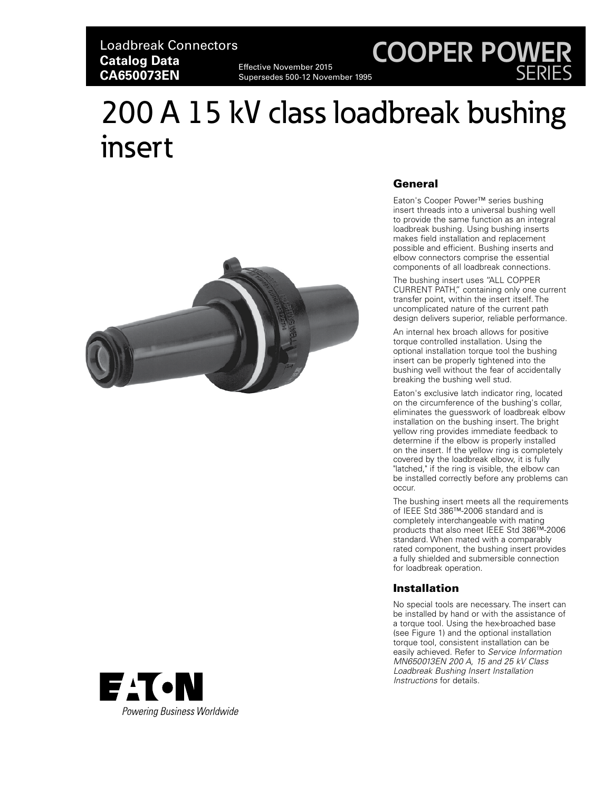# Loadbreak Connectors **Catalog Data CA650073EN**

Effective November 2015 Supersedes 500-12 November 1995

# **COOPER POWER** SERIES

# 200 A 15 kV class loadbreak bushing insert





# General

Eaton's Cooper Power™ series bushing insert threads into a universal bushing well to provide the same function as an integral loadbreak bushing. Using bushing inserts makes field installation and replacement possible and efficient. Bushing inserts and elbow connectors comprise the essential components of all loadbreak connections.

The bushing insert uses "ALL COPPER CURRENT PATH," containing only one current transfer point, within the insert itself. The uncomplicated nature of the current path design delivers superior, reliable performance.

An internal hex broach allows for positive torque controlled installation. Using the optional installation torque tool the bushing insert can be properly tightened into the bushing well without the fear of accidentally breaking the bushing well stud.

Eaton's exclusive latch indicator ring, located on the circumference of the bushing's collar, eliminates the guesswork of loadbreak elbow installation on the bushing insert. The bright yellow ring provides immediate feedback to determine if the elbow is properly installed on the insert. If the yellow ring is completely covered by the loadbreak elbow, it is fully "latched," if the ring is visible, the elbow can be installed correctly before any problems can occur.

The bushing insert meets all the requirements of IEEE Std 386™-2006 standard and is completely interchangeable with mating products that also meet IEEE Std 386™-2006 standard. When mated with a comparably rated component, the bushing insert provides a fully shielded and submersible connection for loadbreak operation.

# Installation

No special tools are necessary. The insert can be installed by hand or with the assistance of a torque tool. Using the hex-broached base (see Figure 1) and the optional installation torque tool, consistent installation can be easily achieved. Refer to *Service Information MN650013EN 200 A, 15 and 25 kV Class Loadbreak Bushing Insert Installation Instructions* for details.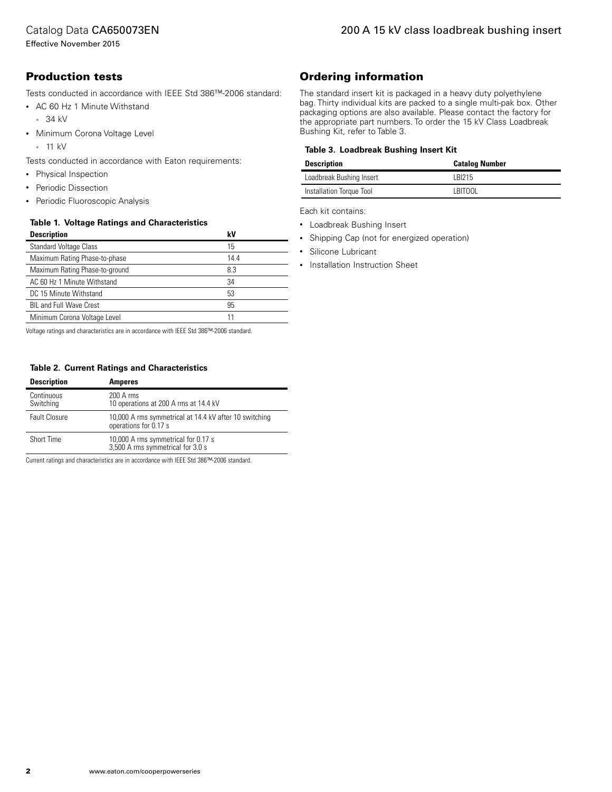### Catalog Data CA650073EN

# Production tests

Tests conducted in accordance with IEEE Std 386™-2006 standard:

- AC 60 Hz 1 Minute Withstand
	- 34 kV
- Minimum Corona Voltage Level
	- 11 kV
- Tests conducted in accordance with Eaton requirements:
- Physical Inspection
- Periodic Dissection
- Periodic Fluoroscopic Analysis

#### **Table 1. Voltage Ratings and Characteristics**

| <b>Description</b>             | k٧   |
|--------------------------------|------|
| <b>Standard Voltage Class</b>  | 15   |
| Maximum Rating Phase-to-phase  | 14.4 |
| Maximum Rating Phase-to-ground | 8.3  |
| AC 60 Hz 1 Minute Withstand    | 34   |
| DC 15 Minute Withstand         | 53   |
| <b>BIL and Full Wave Crest</b> | 95   |
| Minimum Corona Voltage Level   | 11   |

Voltage ratings and characteristics are in accordance with IEEE Std 386™-2006 standard.

#### **Table 2. Current Ratings and Characteristics**

| <b>Description</b>      | <b>Amperes</b>                                                                  |
|-------------------------|---------------------------------------------------------------------------------|
| Continuous<br>Switching | $200A$ rms<br>10 operations at 200 A rms at 14.4 kV                             |
| <b>Fault Closure</b>    | 10,000 A rms symmetrical at 14.4 kV after 10 switching<br>operations for 0.17 s |
| Short Time              | 10,000 A rms symmetrical for 0.17 s<br>3,500 A rms symmetrical for 3.0 s        |

Current ratings and characteristics are in accordance with IEEE Std 386™-2006 standard.

# Ordering information

The standard insert kit is packaged in a heavy duty polyethylene bag. Thirty individual kits are packed to a single multi-pak box. Other packaging options are also available. Please contact the factory for the appropriate part numbers. To order the 15 kV Class Loadbreak Bushing Kit, refer to Table 3.

#### **Table 3. Loadbreak Bushing Insert Kit**

| <b>Description</b>       | <b>Catalog Number</b> |
|--------------------------|-----------------------|
| Loadbreak Bushing Insert | I BI215               |
| Installation Torque Tool | LBITOOL               |

Each kit contains:

- Loadbreak Bushing Insert
- Shipping Cap (not for energized operation)
- Silicone Lubricant
- Installation Instruction Sheet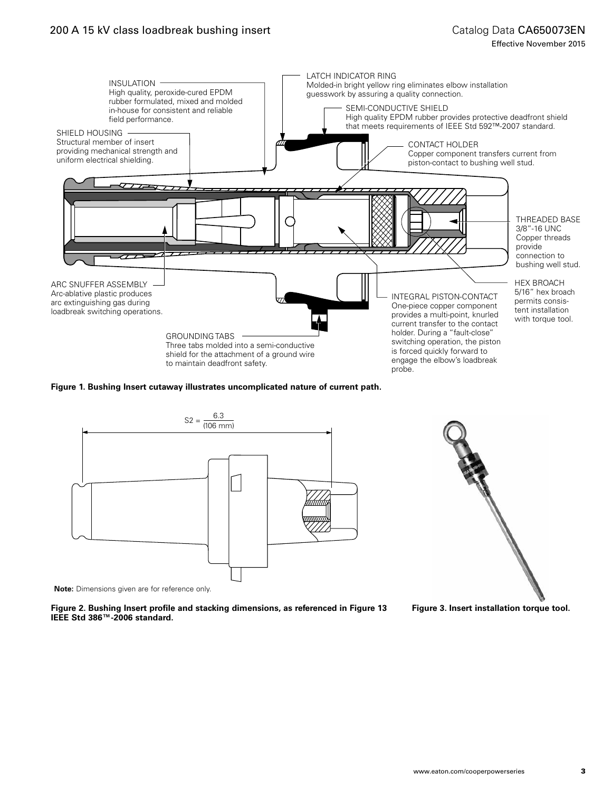# Catalog Data CA650073EN

Effective November 2015



#### **Figure 1. Bushing Insert cutaway illustrates uncomplicated nature of current path.**



**Note:** Dimensions given are for reference only.

**Figure 2. Bushing Insert profile and stacking dimensions, as referenced in Figure 13 IEEE Std 386™-2006 standard.**